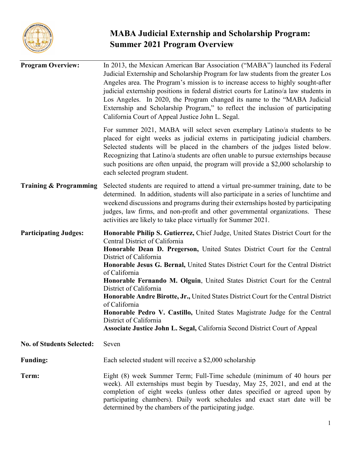

# **MABA Judicial Externship and Scholarship Program: Summer 2021 Program Overview**

| <b>Program Overview:</b>         | In 2013, the Mexican American Bar Association ("MABA") launched its Federal<br>Judicial Externship and Scholarship Program for law students from the greater Los<br>Angeles area. The Program's mission is to increase access to highly sought-after<br>judicial externship positions in federal district courts for Latino/a law students in<br>Los Angeles. In 2020, the Program changed its name to the "MABA Judicial<br>Externship and Scholarship Program," to reflect the inclusion of participating<br>California Court of Appeal Justice John L. Segal.                                                                                                                                                                       |  |
|----------------------------------|----------------------------------------------------------------------------------------------------------------------------------------------------------------------------------------------------------------------------------------------------------------------------------------------------------------------------------------------------------------------------------------------------------------------------------------------------------------------------------------------------------------------------------------------------------------------------------------------------------------------------------------------------------------------------------------------------------------------------------------|--|
|                                  | For summer 2021, MABA will select seven exemplary Latino/a students to be<br>placed for eight weeks as judicial externs in participating judicial chambers.<br>Selected students will be placed in the chambers of the judges listed below.<br>Recognizing that Latino/a students are often unable to pursue externships because<br>such positions are often unpaid, the program will provide a \$2,000 scholarship to<br>each selected program student.                                                                                                                                                                                                                                                                               |  |
| Training & Programming           | Selected students are required to attend a virtual pre-summer training, date to be<br>determined. In addition, students will also participate in a series of lunchtime and<br>weekend discussions and programs during their externships hosted by participating<br>judges, law firms, and non-profit and other governmental organizations. These<br>activities are likely to take place virtually for Summer 2021.                                                                                                                                                                                                                                                                                                                     |  |
| <b>Participating Judges:</b>     | Honorable Philip S. Gutierrez, Chief Judge, United States District Court for the<br>Central District of California<br>Honorable Dean D. Pregerson, United States District Court for the Central<br>District of California<br>Honorable Jesus G. Bernal, United States District Court for the Central District<br>of California<br>Honorable Fernando M. Olguin, United States District Court for the Central<br>District of California<br>Honorable Andre Birotte, Jr., United States District Court for the Central District<br>of California<br>Honorable Pedro V. Castillo, United States Magistrate Judge for the Central<br>District of California<br>Associate Justice John L. Segal, California Second District Court of Appeal |  |
| <b>No. of Students Selected:</b> | Seven                                                                                                                                                                                                                                                                                                                                                                                                                                                                                                                                                                                                                                                                                                                                  |  |
| <b>Funding:</b>                  | Each selected student will receive a \$2,000 scholarship                                                                                                                                                                                                                                                                                                                                                                                                                                                                                                                                                                                                                                                                               |  |
| Term:                            | Eight (8) week Summer Term; Full-Time schedule (minimum of 40 hours per<br>week). All externships must begin by Tuesday, May 25, 2021, and end at the<br>completion of eight weeks (unless other dates specified or agreed upon by<br>participating chambers). Daily work schedules and exact start date will be<br>determined by the chambers of the participating judge.                                                                                                                                                                                                                                                                                                                                                             |  |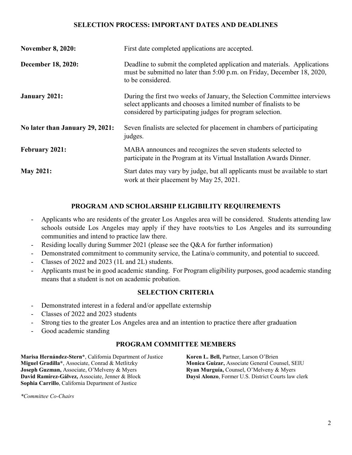### **SELECTION PROCESS: IMPORTANT DATES AND DEADLINES**

| <b>November 8, 2020:</b>        | First date completed applications are accepted.                                                                                                                                                             |  |
|---------------------------------|-------------------------------------------------------------------------------------------------------------------------------------------------------------------------------------------------------------|--|
| <b>December 18, 2020:</b>       | Deadline to submit the completed application and materials. Applications<br>must be submitted no later than 5:00 p.m. on Friday, December 18, 2020,<br>to be considered.                                    |  |
| <b>January 2021:</b>            | During the first two weeks of January, the Selection Committee interviews<br>select applicants and chooses a limited number of finalists to be<br>considered by participating judges for program selection. |  |
| No later than January 29, 2021: | Seven finalists are selected for placement in chambers of participating<br>judges.                                                                                                                          |  |
| <b>February 2021:</b>           | MABA announces and recognizes the seven students selected to<br>participate in the Program at its Virtual Installation Awards Dinner.                                                                       |  |
| <b>May 2021:</b>                | Start dates may vary by judge, but all applicants must be available to start<br>work at their placement by May 25, 2021.                                                                                    |  |

#### **PROGRAM AND SCHOLARSHIP ELIGIBILITY REQUIREMENTS**

- Applicants who are residents of the greater Los Angeles area will be considered. Students attending law schools outside Los Angeles may apply if they have roots/ties to Los Angeles and its surrounding communities and intend to practice law there.
- Residing locally during Summer 2021 (please see the Q&A for further information)
- Demonstrated commitment to community service, the Latina/o community, and potential to succeed.
- Classes of 2022 and 2023 (1L and 2L) students.
- Applicants must be in good academic standing. For Program eligibility purposes, good academic standing means that a student is not on academic probation.

#### **SELECTION CRITERIA**

- Demonstrated interest in a federal and/or appellate externship
- Classes of 2022 and 2023 students
- Strong ties to the greater Los Angeles area and an intention to practice there after graduation
- Good academic standing

#### **PROGRAM COMMITTEE MEMBERS**

**Marisa Hernández-Stern\***, California Department of Justice **Koren L. Bell,** Partner, Larson O'Brien **Miguel Gradilla\***, Associate, Conrad & Metlitzky **Monica Guizar,** Associate General Counsel, SEIU **Joseph Guzman,** Associate, O'Melveny & Myers **Ryan Murguía,** Counsel, O'Melveny & Myers **David Ramírez-Gálvez,** Associate, Jenner & Block **Daysi Alonzo**, Former U.S. District Courts law clerk **Sophia Carrillo**, California Department of Justice

*\*Committee Co-Chairs*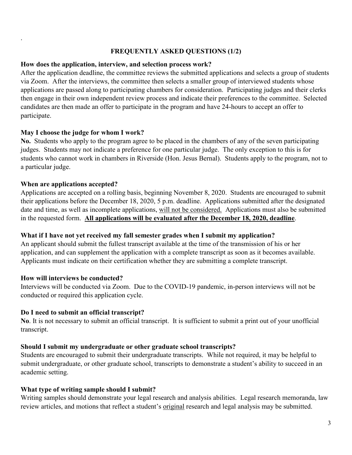#### **FREQUENTLY ASKED QUESTIONS (1/2)**

#### **How does the application, interview, and selection process work?**

After the application deadline, the committee reviews the submitted applications and selects a group of students via Zoom. After the interviews, the committee then selects a smaller group of interviewed students whose applications are passed along to participating chambers for consideration. Participating judges and their clerks then engage in their own independent review process and indicate their preferences to the committee. Selected candidates are then made an offer to participate in the program and have 24-hours to accept an offer to participate.

#### **May I choose the judge for whom I work?**

**No.** Students who apply to the program agree to be placed in the chambers of any of the seven participating judges. Students may not indicate a preference for one particular judge. The only exception to this is for students who cannot work in chambers in Riverside (Hon. Jesus Bernal). Students apply to the program, not to a particular judge.

#### **When are applications accepted?**

.

Applications are accepted on a rolling basis, beginning November 8, 2020. Students are encouraged to submit their applications before the December 18, 2020, 5 p.m. deadline. Applications submitted after the designated date and time, as well as incomplete applications, will not be considered. Applications must also be submitted in the requested form. **All applications will be evaluated after the December 18, 2020, deadline**.

#### **What if I have not yet received my fall semester grades when I submit my application?**

An applicant should submit the fullest transcript available at the time of the transmission of his or her application, and can supplement the application with a complete transcript as soon as it becomes available. Applicants must indicate on their certification whether they are submitting a complete transcript.

#### **How will interviews be conducted?**

Interviews will be conducted via Zoom. Due to the COVID-19 pandemic, in-person interviews will not be conducted or required this application cycle.

#### **Do I need to submit an official transcript?**

**No**. It is not necessary to submit an official transcript. It is sufficient to submit a print out of your unofficial transcript.

#### **Should I submit my undergraduate or other graduate school transcripts?**

Students are encouraged to submit their undergraduate transcripts. While not required, it may be helpful to submit undergraduate, or other graduate school, transcripts to demonstrate a student's ability to succeed in an academic setting.

#### **What type of writing sample should I submit?**

Writing samples should demonstrate your legal research and analysis abilities. Legal research memoranda, law review articles, and motions that reflect a student's original research and legal analysis may be submitted.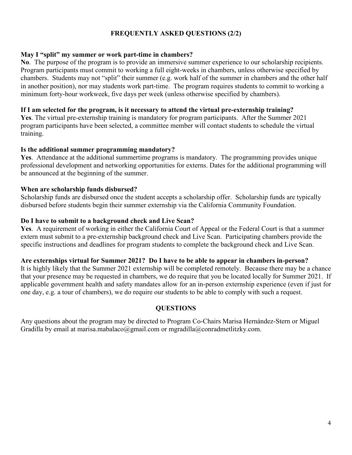### **FREQUENTLY ASKED QUESTIONS (2/2)**

#### **May I "split" my summer or work part-time in chambers?**

**No**. The purpose of the program is to provide an immersive summer experience to our scholarship recipients. Program participants must commit to working a full eight-weeks in chambers, unless otherwise specified by chambers. Students may not "split" their summer (e.g. work half of the summer in chambers and the other half in another position), nor may students work part-time. The program requires students to commit to working a minimum forty-hour workweek, five days per week (unless otherwise specified by chambers).

#### **If I am selected for the program, is it necessary to attend the virtual pre-externship training?**

**Yes**. The virtual pre-externship training is mandatory for program participants. After the Summer 2021 program participants have been selected, a committee member will contact students to schedule the virtual training.

#### **Is the additional summer programming mandatory?**

**Yes**. Attendance at the additional summertime programs is mandatory. The programming provides unique professional development and networking opportunities for externs. Dates for the additional programming will be announced at the beginning of the summer.

#### **When are scholarship funds disbursed?**

Scholarship funds are disbursed once the student accepts a scholarship offer. Scholarship funds are typically disbursed before students begin their summer externship via the California Community Foundation.

#### **Do I have to submit to a background check and Live Scan?**

**Yes**. A requirement of working in either the California Court of Appeal or the Federal Court is that a summer extern must submit to a pre-externship background check and Live Scan. Participating chambers provide the specific instructions and deadlines for program students to complete the background check and Live Scan.

#### **Are externships virtual for Summer 2021? Do I have to be able to appear in chambers in-person?**

It is highly likely that the Summer 2021 externship will be completed remotely. Because there may be a chance that your presence may be requested in chambers, we do require that you be located locally for Summer 2021. If applicable government health and safety mandates allow for an in-person externship experience (even if just for one day, e.g. a tour of chambers), we do require our students to be able to comply with such a request.

#### **QUESTIONS**

Any questions about the program may be directed to Program Co-Chairs Marisa Hernández-Stern or Miguel Gradilla by email at marisa.mabalaco@gmail.com or mgradilla@conradmetlitzky.com.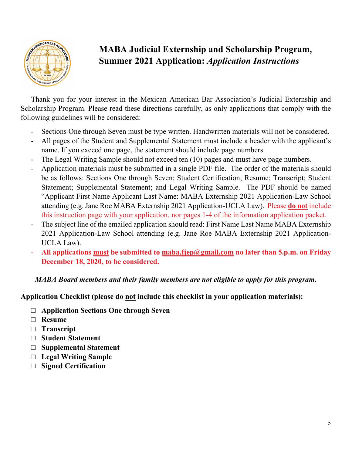

# **MABA Judicial Externship and Scholarship Program, Summer 2021 Application:** *Application Instructions*

Thank you for your interest in the Mexican American Bar Association's Judicial Externship and Scholarship Program. Please read these directions carefully, as only applications that comply with the following guidelines will be considered:

- Sections One through Seven must be type written. Handwritten materials will not be considered.
- All pages of the Student and Supplemental Statement must include a header with the applicant's name. If you exceed one page, the statement should include page numbers.
- The Legal Writing Sample should not exceed ten (10) pages and must have page numbers.
- Application materials must be submitted in a single PDF file. The order of the materials should be as follows: Sections One through Seven; Student Certification; Resume; Transcript; Student Statement; Supplemental Statement; and Legal Writing Sample. The PDF should be named "Applicant First Name Applicant Last Name: MABA Externship 2021 Application-Law School attending (e.g. Jane Roe MABA Externship 2021 Application-UCLA Law). Please **do not** include this instruction page with your application, nor pages 1-4 of the information application packet.
- The subject line of the emailed application should read: First Name Last Name MABA Externship 2021 Application-Law School attending (e.g. Jane Roe MABA Externship 2021 Application-UCLA Law).
- All applications must be submitted to maba.fjep@gmail.com no later than 5.p.m. on Friday **December 18, 2020, to be considered.**

### *MABA Board members and their family members are not eligible to apply for this program.*

### **Application Checklist (please do not include this checklist in your application materials):**

- □ **Application Sections One through Seven**
- □ **Resume**
- □ **Transcript**
- □ **Student Statement**
- □ **Supplemental Statement**
- □ **Legal Writing Sample**
- □ **Signed Certification**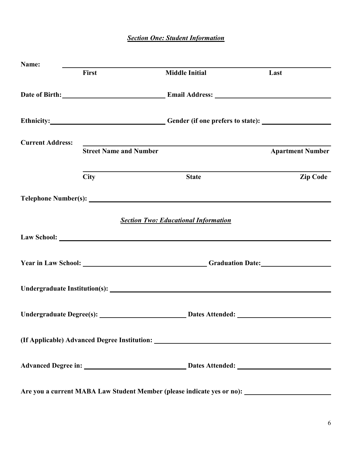### *Section One: Student Information*

| Name:                   |                               |                                                                                                                                                                                                                                      |                         |
|-------------------------|-------------------------------|--------------------------------------------------------------------------------------------------------------------------------------------------------------------------------------------------------------------------------------|-------------------------|
|                         | First                         | <b>Middle Initial</b>                                                                                                                                                                                                                | Last                    |
|                         |                               | Date of Birth: <u>New York: Email Address: New York: New York: New York: New York: New York: New York: New York: New York: New York: New York: New York: New York: New York: New York: New York: New York: New York: New York: N</u> |                         |
|                         |                               | Ethnicity: Cender (if one prefers to state):                                                                                                                                                                                         |                         |
| <b>Current Address:</b> |                               |                                                                                                                                                                                                                                      |                         |
|                         | <b>Street Name and Number</b> |                                                                                                                                                                                                                                      | <b>Apartment Number</b> |
|                         |                               |                                                                                                                                                                                                                                      |                         |
|                         | <b>City</b>                   | <b>State</b>                                                                                                                                                                                                                         | <b>Zip Code</b>         |
|                         |                               |                                                                                                                                                                                                                                      |                         |
|                         |                               | <b>Section Two: Educational Information</b>                                                                                                                                                                                          |                         |
|                         |                               |                                                                                                                                                                                                                                      |                         |
|                         |                               |                                                                                                                                                                                                                                      |                         |
|                         |                               |                                                                                                                                                                                                                                      |                         |
|                         |                               |                                                                                                                                                                                                                                      |                         |
|                         |                               | (If Applicable) Advanced Degree Institution: ___________________________________                                                                                                                                                     |                         |
|                         |                               |                                                                                                                                                                                                                                      |                         |
|                         |                               |                                                                                                                                                                                                                                      |                         |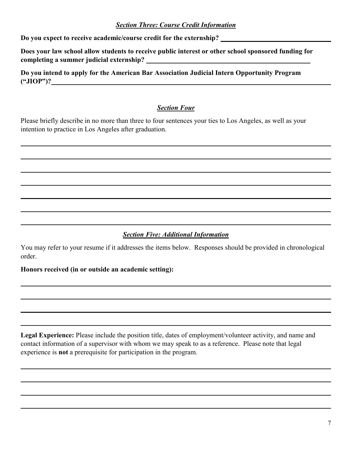### *Section Three: Course Credit Information*

**Do you expect to receive academic/course credit for the externship?** 

**Does your law school allow students to receive public interest or other school sponsored funding for completing a summer judicial externship?** 

**Do you intend to apply for the American Bar Association Judicial Intern Opportunity Program ("JIOP")?**

### *Section Four*

Please briefly describe in no more than three to four sentences your ties to Los Angeles, as well as your intention to practice in Los Angeles after graduation.

### *Section Five: Additional Information*

You may refer to your resume if it addresses the items below. Responses should be provided in chronological order.

### **Honors received (in or outside an academic setting):**

Legal Experience: Please include the position title, dates of employment/volunteer activity, and name and contact information of a supervisor with whom we may speak to as a reference. Please note that legal experience is **not** a prerequisite for participation in the program.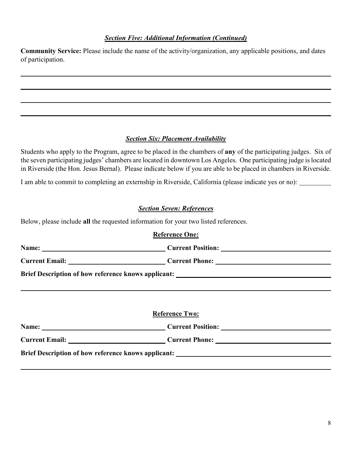### *Section Five: Additional Information (Continued)*

**Community Service:** Please include the name of the activity/organization, any applicable positions, and dates of participation.

### *Section Six: Placement Availability*

Students who apply to the Program, agree to be placed in the chambers of **any** of the participating judges. Six of the seven participating judges' chambers are located in downtown Los Angeles. One participating judge is located in Riverside (the Hon. Jesus Bernal). Please indicate below if you are able to be placed in chambers in Riverside.

I am able to commit to completing an externship in Riverside, California (please indicate yes or no):

### *Section Seven: References*

Below, please include **all** the requested information for your two listed references.

| <b>Reference One:</b>                                                             |  |
|-----------------------------------------------------------------------------------|--|
| Name: Current Position:                                                           |  |
| Current Email: Current Phone: Current Phone:                                      |  |
| Brief Description of how reference knows applicant: _____________________________ |  |
|                                                                                   |  |
|                                                                                   |  |
|                                                                                   |  |
| <b>Reference Two:</b>                                                             |  |
| Name: Current Position:                                                           |  |
| Current Email: Current Phone: Current Phone:                                      |  |
| Brief Description of how reference knows applicant: _____________________________ |  |
|                                                                                   |  |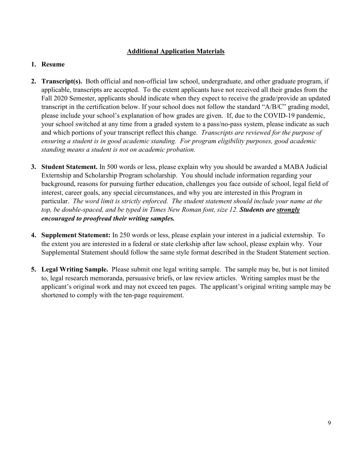### **Additional Application Materials**

### **1. Resume**

- **2. Transcript(s).** Both official and non-official law school, undergraduate, and other graduate program, if applicable, transcripts are accepted. To the extent applicants have not received all their grades from the Fall 2020 Semester, applicants should indicate when they expect to receive the grade/provide an updated transcript in the certification below. If your school does not follow the standard "A/B/C" grading model, please include your school's explanation of how grades are given. If, due to the COVID-19 pandemic, your school switched at any time from a graded system to a pass/no-pass system, please indicate as such and which portions of your transcript reflect this change. *Transcripts are reviewed for the purpose of ensuring a student is in good academic standing. For program eligibility purposes, good academic standing means a student is not on academic probation.*
- **3. Student Statement.** In 500 words or less, please explain why you should be awarded a MABA Judicial Externship and Scholarship Program scholarship. You should include information regarding your background, reasons for pursuing further education, challenges you face outside of school, legal field of interest, career goals, any special circumstances, and why you are interested in this Program in particular. *The word limit is strictly enforced. The student statement should include your name at the top, be double-spaced, and be typed in Times New Roman font, size 12. Students are strongly encouraged to proofread their writing samples.*
- **4. Supplement Statement:** In 250 words or less, please explain your interest in a judicial externship. To the extent you are interested in a federal or state clerkship after law school, please explain why. Your Supplemental Statement should follow the same style format described in the Student Statement section.
- **5. Legal Writing Sample.** Please submit one legal writing sample. The sample may be, but is not limited to, legal research memoranda, persuasive briefs, or law review articles. Writing samples must be the applicant's original work and may not exceed ten pages. The applicant's original writing sample may be shortened to comply with the ten-page requirement.